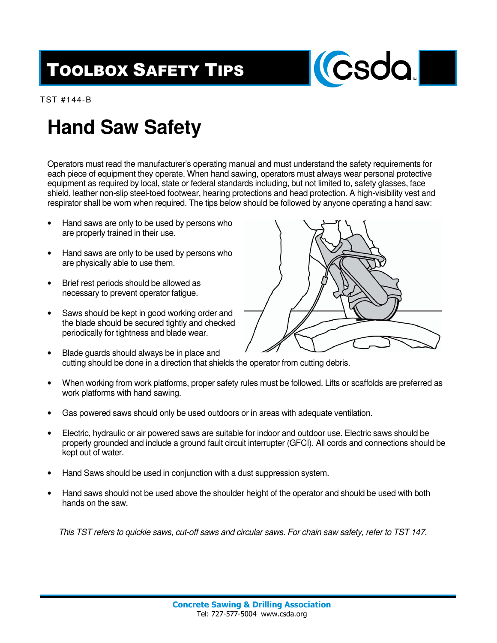## TOOLBOX SAFETY TIPS



TST #144-B

## **Hand Saw Safety**

Operators must read the manufacturer's operating manual and must understand the safety requirements for each piece of equipment they operate. When hand sawing, operators must always wear personal protective equipment as required by local, state or federal standards including, but not limited to, safety glasses, face shield, leather non-slip steel-toed footwear, hearing protections and head protection. A high-visibility vest and respirator shall be worn when required. The tips below should be followed by anyone operating a hand saw:

- Hand saws are only to be used by persons who are properly trained in their use.
- Hand saws are only to be used by persons who are physically able to use them.
- Brief rest periods should be allowed as necessary to prevent operator fatigue.
- Saws should be kept in good working order and the blade should be secured tightly and checked periodically for tightness and blade wear.



- Blade guards should always be in place and cutting should be done in a direction that shields the operator from cutting debris.
- When working from work platforms, proper safety rules must be followed. Lifts or scaffolds are preferred as work platforms with hand sawing.
- Gas powered saws should only be used outdoors or in areas with adequate ventilation.
- Electric, hydraulic or air powered saws are suitable for indoor and outdoor use. Electric saws should be properly grounded and include a ground fault circuit interrupter (GFCI). All cords and connections should be kept out of water.
- Hand Saws should be used in conjunction with a dust suppression system.
- Hand saws should not be used above the shoulder height of the operator and should be used with both hands on the saw.

This TST refers to quickie saws, cut-off saws and circular saws. For chain saw safety, refer to TST 147.